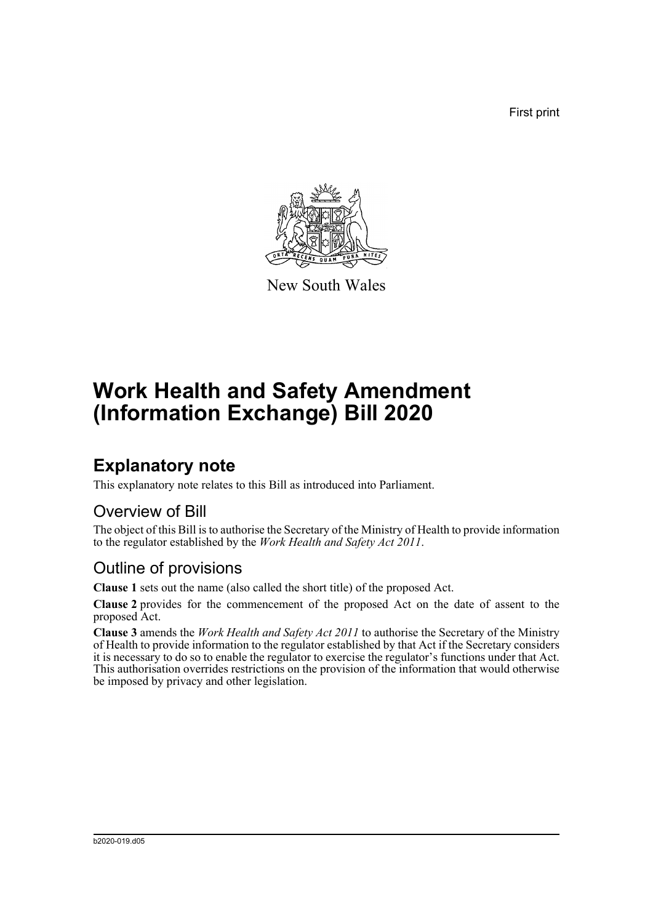First print



New South Wales

# **Work Health and Safety Amendment (Information Exchange) Bill 2020**

## **Explanatory note**

This explanatory note relates to this Bill as introduced into Parliament.

#### Overview of Bill

The object of this Bill is to authorise the Secretary of the Ministry of Health to provide information to the regulator established by the *Work Health and Safety Act 2011*.

#### Outline of provisions

**Clause 1** sets out the name (also called the short title) of the proposed Act.

**Clause 2** provides for the commencement of the proposed Act on the date of assent to the proposed Act.

**Clause 3** amends the *Work Health and Safety Act 2011* to authorise the Secretary of the Ministry of Health to provide information to the regulator established by that Act if the Secretary considers it is necessary to do so to enable the regulator to exercise the regulator's functions under that Act. This authorisation overrides restrictions on the provision of the information that would otherwise be imposed by privacy and other legislation.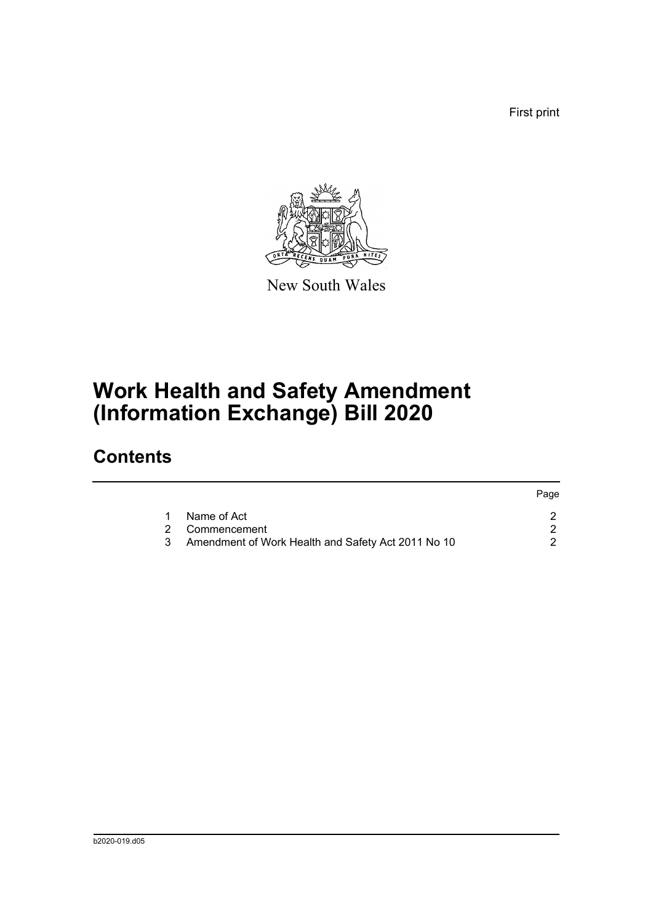First print



New South Wales

# **Work Health and Safety Amendment (Information Exchange) Bill 2020**

## **Contents**

|   |                                                    | Page |
|---|----------------------------------------------------|------|
|   | Name of Act                                        |      |
|   | 2 Commencement                                     |      |
| 3 | Amendment of Work Health and Safety Act 2011 No 10 |      |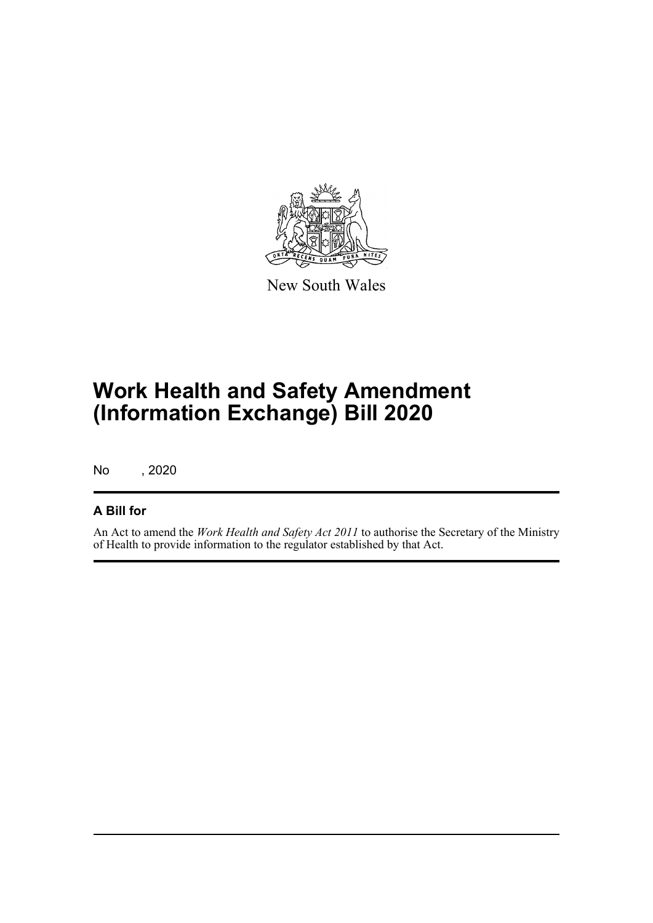

New South Wales

# **Work Health and Safety Amendment (Information Exchange) Bill 2020**

No , 2020

#### **A Bill for**

An Act to amend the *Work Health and Safety Act 2011* to authorise the Secretary of the Ministry of Health to provide information to the regulator established by that Act.